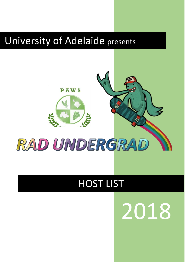# University of Adelaide presents



# HOST LIST

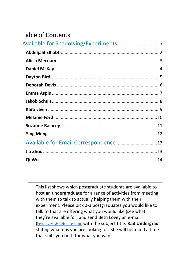### Table of Contents

<span id="page-1-0"></span>This list shows which postgraduate students are available to host an undergraduate for a range of activities from meeting with them to talk to actually helping them with their experiment. Please pick 2-3 postgraduates you would like to talk to that are offering what you would like (see what they're available for) and send Beth Lovey an e-mail ([beth.loveys@adelaide.edu.au\)](mailto:beth.loveys@adelaide.edu.au) with the subject title: **Rad Undergrad** stating what it is you are looking for. She will help find a time that suits you both for what you want!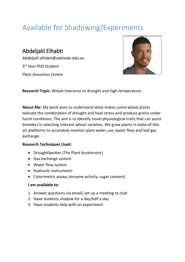## Available for Shadowing/Experiments

<span id="page-2-0"></span>Abdeljalil Elhabti Abdeljalil.elhabti@adelaide.edu.au 3<sup>rd</sup> Year PhD Student Plant Genomics Centre



**Research Topic:** Wheat tolerance to drought and high temperature

**About Me:** My work aims to understand what makes some wheat plants tolerate the combination of drought and heat stress and produce grains under harsh conditions. The aim is to identify novel physiological traits that can assist breeders in selecting tolerant wheat varieties. We grow plants in state-of-theart platforms to accurately monitor plant water use, water flow and leaf gas exchange.

#### **Research Techniques Used:**

- DroughtSpotter (The Plant Accelerator)
- Gas exchange system
- Water flow system
- Hydraulic instruments
- Colorimetric assays (enzyme activity, sugar content)

- 1. Answer questions via email/ set up a meeting to chat
- 2. Have students shadow for a day/half a day
- 3. Have students help with an experiment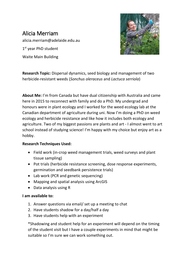### <span id="page-3-0"></span>Alicia Merriam alicia.merriam@adelaide.edu.au 1st year PhD student

Waite Main Building



**Research Topic:** Dispersal dynamics, seed biology and management of two herbicide-resistant weeds (*Sonchus oleraceus* and *Lactuca serriola*)

**About Me:** I'm from Canada but have dual citizenship with Australia and came here in 2015 to reconnect with family and do a PhD. My undergrad and honours were in plant ecology and I worked for the weed ecology lab at the Canadian department of agriculture during uni. Now I'm doing a PhD on weed ecology and herbicide resistance and like how it includes both ecology and agriculture. Two of my biggest passions are plants and art - I almost went to art school instead of studying science! I'm happy with my choice but enjoy art as a hobby.

#### **Research Techniques Used:**

- Field work (in-crop weed management trials, weed surveys and plant tissue sampling)
- Pot trials (herbicide resistance screening, dose response experiments, germination and seedbank persistence trials)
- Lab work (PCR and genetic sequencing)
- Mapping and spatial analysis using ArcGIS
- Data analysis using R

#### **I am available to:**

- 1. Answer questions via email/ set up a meeting to chat
- 2. Have students shadow for a day/half a day
- 3. Have students help with an experiment

\*Shadowing and student help for an experiment will depend on the timing of the student visit but I have a couple experiments in mind that might be suitable so I'm sure we can work something out.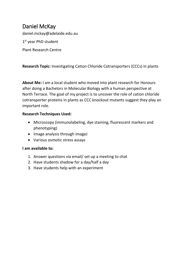### <span id="page-4-0"></span>Daniel McKay

daniel.mckay@adelaide.edu.au

1st year PhD student

Plant Research Centre

**Research Topic:** Investigating Cation Chloride Cotransporters (CCCs) in plants

**About Me:** I am a local student who moved into plant research for Honours after doing a Bachelors in Molecular Biology with a human perspective at North Terrace. The goal of my project is to uncover the role of cation chloride cotransporter proteins in plants as CCC knockout mutants suggest they play an important role.

#### **Research Techniques Used:**

- Microscopy (immunolabeling, dye staining, fluorescent markers and phenotyping)
- Image analysis through imageJ
- Various osmotic stress assays

- 1. Answer questions via email/ set up a meeting to chat
- 2. Have students shadow for a day/half a day
- 3. Have students help with an experiment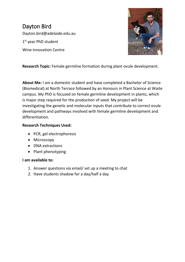<span id="page-5-0"></span>Dayton Bird Dayton.bird@adelaide.edu.au 1st year PhD student Wine Innovation Centre



**Research Topic:** Female germline formation during plant ovule development.

**About Me:** I am a domestic student and have completed a Bachelor of Science (Biomedical) at North Terrace followed by an Honours in Plant Science at Waite campus. My PhD is focused on female germline development in plants, which is major step required for the production of seed. My project will be investigating the genetic and molecular inputs that contribute to correct ovule development and pathways involved with female germline development and differentiation.

#### **Research Techniques Used:**

- PCR, gel electrophoresis
- Microscopy
- DNA extractions
- Plant phenotyping

- 1. Answer questions via email/ set up a meeting to chat
- 2. Have students shadow for a day/half a day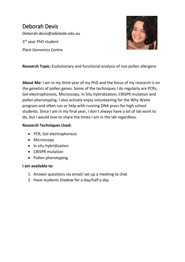### <span id="page-6-0"></span>Deborah Devis Deborah.devis@adelaide.edu.au 3<sup>rd</sup> year PhD student Plant Genomics Centre



**Research Topic:** Evolutionary and functional analysis of rice pollen allergens

**About Me:** I am in my third year of my PhD and the focus of my research is on the genetics of pollen genes. Some of the techniques I do regularly are PCRs, Gel electrophoresis, Microscopy, In Situ hybridization, CRISPR mutation and pollen phenotyping. I also actively enjoy volunteering for the Why Waite program and often run or help with running DNA pracs for high school students. Since I am in my final year, I don't always have a lot of lab work to do, but I would love to share the times I am in the lab regardless.

#### **Research Techniques Used:**

- PCR, Gel electrophoresis
- Microscopy
- In situ hybridization
- CRISPR mutation
- Pollen phenotyping

- 1. Answer questions via email/ set up a meeting to chat
- 2. Have students shadow for a day/half a day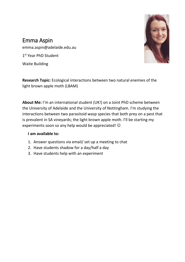### <span id="page-7-0"></span>Emma Aspin

emma.aspin@adelaide.edu.au

1st Year PhD Student

Waite Building

**Research Topic:** Ecological interactions between two natural enemies of the light brown apple moth (LBAM)

**About Me:** I'm an international student (UK!) on a Joint PhD scheme between the University of Adelaide and the University of Nottingham. I'm studying the interactions between two parasitoid wasp species that both prey on a pest that is prevalent in SA vineyards; the light brown apple moth. I'll be starting my experiments soon so any help would be appreciated!  $\odot$ 

- 1. Answer questions via email/ set up a meeting to chat
- 2. Have students shadow for a day/half a day
- 3. Have students help with an experiment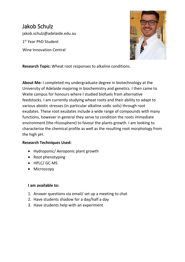### <span id="page-8-0"></span>Jakob Schulz jakob.schulz@adelaide.edu.au 1st Year PhD Student Wine Innovation Central



**Research Topic:** Wheat root responses to alkaline conditions.

**About Me:** I completed my undergraduate degree in biotechnology at the University of Adelaide majoring in biochemistry and genetics. I then came to Waite campus for honours where I studied biofuels from alternative feedstocks. I am currently studying wheat roots and their ability to adapt to various abiotic stresses (in particular alkaline sodic soils) through root exudates. These root exudates include a wide range of compounds with many functions, however in general they serve to condition the roots immediate environment (the rhizosphere) to favour the plants growth. I am looking to characterise the chemical profile as well as the resulting root morphology from the high pH.

#### **Research Techniques Used:**

- Hydroponic/ Aeroponic plant growth
- Root phenotyping
- HPLC/ GC-MS
- Microscopy

- 1. Answer questions via email/ set up a meeting to chat
- 2. Have students shadow for a day/half a day
- 3. Have students help with an experiment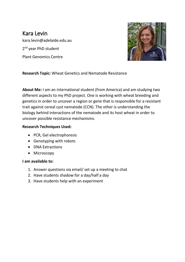<span id="page-9-0"></span>Kara Levin kara.levin@adelaide.edu.au 2<sup>nd</sup> year PhD student Plant Genomics Centre



#### **Research Topic:** Wheat Genetics and Nematode Resistance

**About Me:** I am an international student (from America) and am studying two different aspects to my PhD project. One is working with wheat breeding and genetics in order to uncover a region or gene that is responsible for a resistant trait against cereal cyst nematode (CCN). The other is understanding the biology behind interactions of the nematode and its host wheat in order to uncover possible resistance mechanisms.

#### **Research Techniques Used:**

- PCR, Gel electrophoresis
- Genotyping with robots
- DNA Extractions
- Microscopy

- 1. Answer questions via email/ set up a meeting to chat
- 2. Have students shadow for a day/half a day
- 3. Have students help with an experiment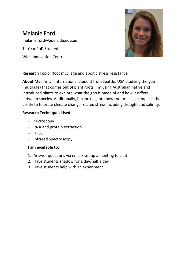### <span id="page-10-0"></span>Melanie Ford

melanie.ford@adelaide.edu.au

1st Year PhD Student

Wine Innovation Centre



#### **Research Topic:** Root mucilage and abiotic stress resistance

**About Me:** I'm an international student from Seattle, USA studying the goo (mucilage) that comes out of plant roots. I'm using Australian native and introduced plants to explore what the goo is made of and how it differs between species. Additionally, I'm looking into how root mucilage impacts the ability to tolerate climate change related stress including drought and salinity.

#### **Research Techniques Used:**

- Microscopy
- RNA and protein extraction
- $-$  HPLC
- Infrared Spectroscopy

- 1. Answer questions via email/ set up a meeting to chat
- 2. Have students shadow for a day/half a day
- 3. Have students help with an experiment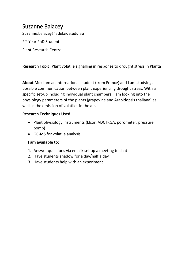### <span id="page-11-0"></span>Suzanne Balacey

Suzanne.balacey@adelaide.edu.au

2<sup>nd</sup> Year PhD Student

Plant Research Centre

**Research Topic:** Plant volatile signalling in response to drought stress in Planta

**About Me:** I am an international student (from France) and I am studying a possible communication between plant experiencing drought stress. With a specific set-up including individual plant chambers, I am looking into the physiology parameters of the plants (grapevine and Arabidopsis thaliana) as well as the emission of volatiles in the air.

#### **Research Techniques Used:**

- Plant physiology instruments (LIcor, ADC IRGA, porometer, pressure bomb)
- GC-MS for volatile analysis

- 1. Answer questions via email/ set up a meeting to chat
- 2. Have students shadow for a day/half a day
- 3. Have students help with an experiment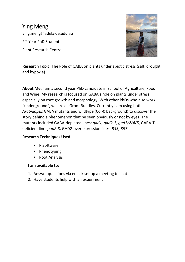<span id="page-12-0"></span>Ying Meng ying.meng@adelaide.edu.au 2<sup>nd</sup> Year PhD Student Plant Research Centre



**Research Topic:** The Role of GABA on plants under abiotic stress (salt, drought and hypoxia)

**About Me:** I am a second year PhD candidate in School of Agriculture, Food and Wine. My research is focused on GABA's role on plants under stress, especially on root growth and morphology. With other PhDs who also work "underground", we are all Groot Buddies. Currently I am using both *Arabidopsis* GABA mutants and wildtype (Col-0 background) to discover the story behind a phenomenon that be seen obviously or not by eyes. The mutants included GABA-depleted lines: *gad1, gad2-1, gad1/2/4/5*, GABA-T deficient line: *pop2-8*, GAD2-overexpression lines: *B33, B97*.

#### **Research Techniques Used:**

- R Software
- Phenotyping
- Root Analysis

- 1. Answer questions via email/ set up a meeting to chat
- 2. Have students help with an experiment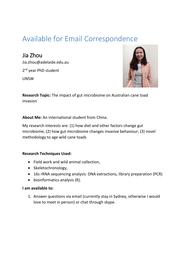### <span id="page-13-0"></span>Available for Email Correspondence

<span id="page-13-1"></span>Jia Zhou Jia.zhou@adelaide.edu.au 2<sup>nd</sup> year PhD student UNSW



**Research Topic:** The impact of gut microbiome on Australian cane toad invasion

**About Me:** An international student from China.

My research interests are: (1) how diet and other factors change gut microbiome; (2) how gut microbiome changes invasive behaviour; (3) novel methodology to age wild cane toads

#### **Research Techniques Used:**

- Field work and wild animal collection,
- Skeletochronology,
- 16s rRNA sequencing analysis: DNA extractions, library preparation (PCR)
- bioinformatics analysis (R).

#### **I am available to:**

1. Answer questions via email (currently stay in Sydney, otherwise I would love to meet in person) or chat through skype.